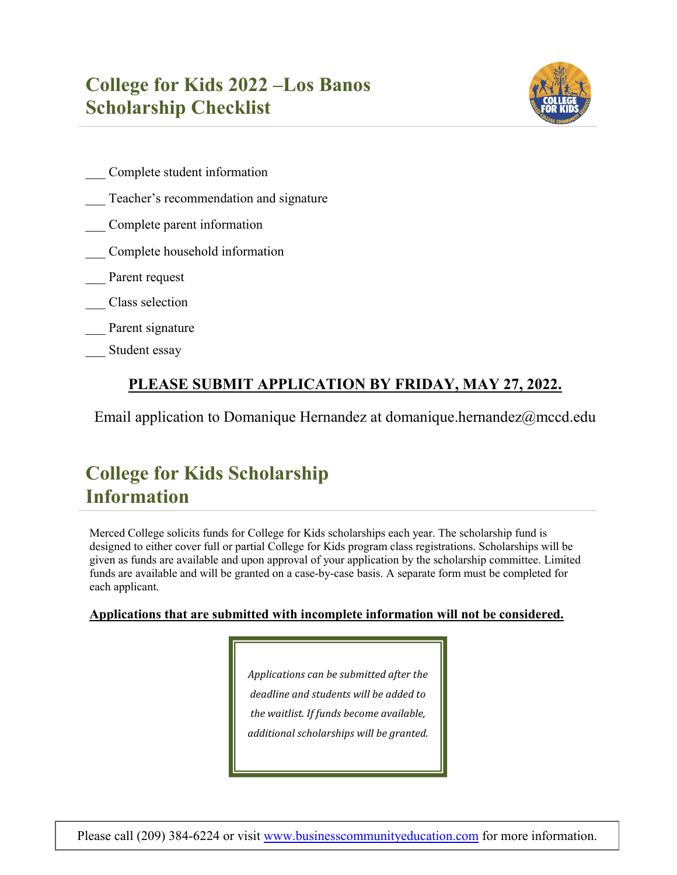## **College for Kids 2022 –Los Banos Scholarship Checklist**



- \_\_\_ Complete student information
- Teacher's recommendation and signature
- \_\_\_ Complete parent information
- \_\_\_ Complete household information
- Parent request
- \_\_\_ Class selection
- Parent signature
- Student essay

### **PLEASE SUBMIT APPLICATION BY FRIDAY, MAY 27, 2022.**

Email application to Domanique Hernandez at domanique.hernandez@mccd.edu

# **College for Kids Scholarship Information**

Merced College solicits funds for College for Kids scholarships each year. The scholarship fund is designed to either cover full or partial College for Kids program class registrations. Scholarships will be given as funds are available and upon approval of your application by the scholarship committee. Limited funds are available and will be granted on a case-by-case basis. A separate form must be completed for each applicant.

#### **Applications that are submitted with incomplete information will not be considered.**

*Applications can be submitted after the deadline and students will be added to the waitlist. If funds become available, additional scholarships will be granted.*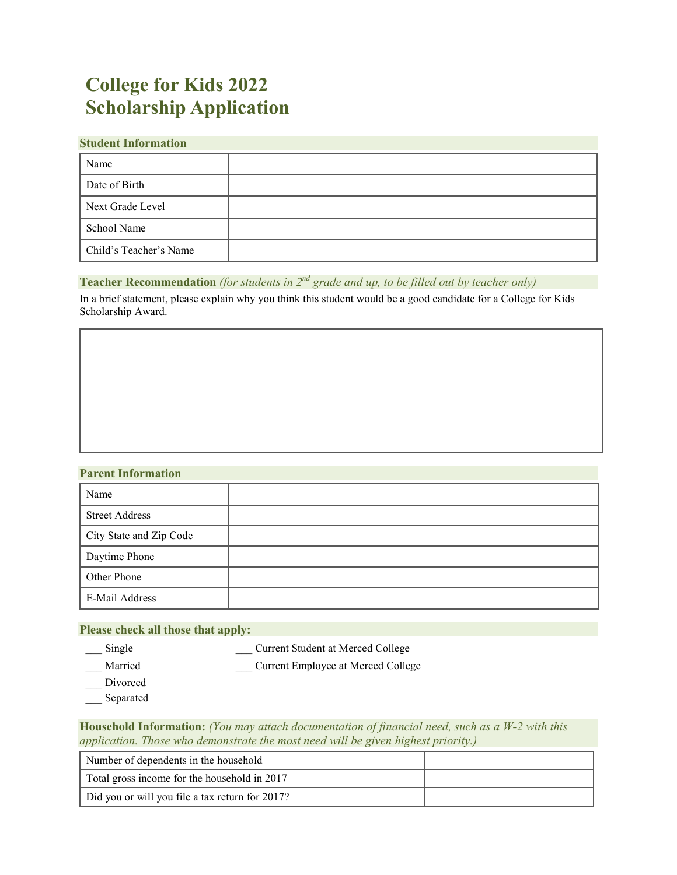# **College for Kids 2022 Scholarship Application**

#### **Student Information**

| Name                   |  |
|------------------------|--|
| Date of Birth          |  |
| Next Grade Level       |  |
| School Name            |  |
| Child's Teacher's Name |  |

#### **Teacher Recommendation** *(for students in 2nd grade and up, to be filled out by teacher only)*

In a brief statement, please explain why you think this student would be a good candidate for a College for Kids Scholarship Award.

#### **Parent Information**

| Name                    |  |
|-------------------------|--|
| <b>Street Address</b>   |  |
| City State and Zip Code |  |
| Daytime Phone           |  |
| Other Phone             |  |
| E-Mail Address          |  |

#### **Please check all those that apply:**

- 
- \_\_\_ Single \_\_\_ Current Student at Merced College
- \_Married \_\_\_\_\_\_\_\_\_\_\_\_\_\_\_\_\_\_Current Employee at Merced College
- Divorced
- \_\_\_ Separated

**Household Information:** *(You may attach documentation of financial need, such as a W-2 with this application. Those who demonstrate the most need will be given highest priority.)*

| Number of dependents in the household           |  |
|-------------------------------------------------|--|
| Total gross income for the household in 2017    |  |
| Did you or will you file a tax return for 2017? |  |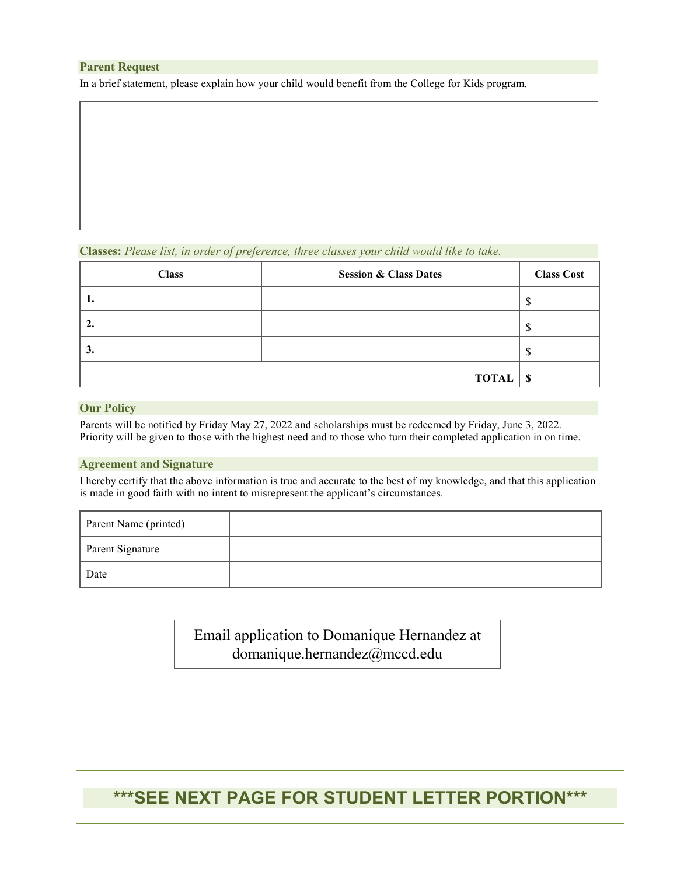#### **Parent Request**

In a brief statement, please explain how your child would benefit from the College for Kids program.

#### **Classes:** *Please list, in order of preference, three classes your child would like to take.*

| <b>Class</b> | <b>Session &amp; Class Dates</b> | <b>Class Cost</b> |
|--------------|----------------------------------|-------------------|
| . .          |                                  | D                 |
|              |                                  | ╓<br>۰D.          |
| J.           |                                  |                   |
|              | <b>TOTAL</b>                     | - \$              |

#### **Our Policy**

Parents will be notified by Friday May 27, 2022 and scholarships must be redeemed by Friday, June 3, 2022. Priority will be given to those with the highest need and to those who turn their completed application in on time.

#### **Agreement and Signature**

I hereby certify that the above information is true and accurate to the best of my knowledge, and that this application is made in good faith with no intent to misrepresent the applicant's circumstances.

| Parent Name (printed) |  |
|-----------------------|--|
| Parent Signature      |  |
| Date                  |  |

Email application to Domanique Hernandez at domanique.hernandez@mccd.edu

## **\*\*\*SEE NEXT PAGE FOR STUDENT LETTER PORTION\*\*\***